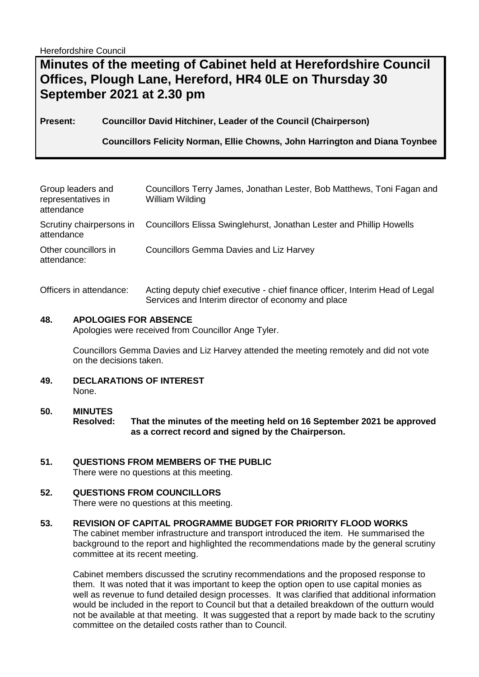Herefordshire Council

# **Minutes of the meeting of Cabinet held at Herefordshire Council Offices, Plough Lane, Hereford, HR4 0LE on Thursday 30 September 2021 at 2.30 pm**

**Present: Councillor David Hitchiner, Leader of the Council (Chairperson)**

**Councillors Felicity Norman, Ellie Chowns, John Harrington and Diana Toynbee**

| Group leaders and<br>representatives in<br>attendance | Councillors Terry James, Jonathan Lester, Bob Matthews, Toni Fagan and<br>William Wilding     |
|-------------------------------------------------------|-----------------------------------------------------------------------------------------------|
| attendance                                            | Scrutiny chairpersons in Councillors Elissa Swinglehurst, Jonathan Lester and Phillip Howells |
| Other councillors in<br>attendance:                   | <b>Councillors Gemma Davies and Liz Harvey</b>                                                |

Officers in attendance: Acting deputy chief executive - chief finance officer, Interim Head of Legal Services and Interim director of economy and place

## **48. APOLOGIES FOR ABSENCE**

Apologies were received from Councillor Ange Tyler.

Councillors Gemma Davies and Liz Harvey attended the meeting remotely and did not vote on the decisions taken.

- **49. DECLARATIONS OF INTEREST**  None.
- **50. MINUTES Resolved: That the minutes of the meeting held on 16 September 2021 be approved as a correct record and signed by the Chairperson.**
- **51. QUESTIONS FROM MEMBERS OF THE PUBLIC**  There were no questions at this meeting.

## **52. QUESTIONS FROM COUNCILLORS**

There were no questions at this meeting.

## **53. REVISION OF CAPITAL PROGRAMME BUDGET FOR PRIORITY FLOOD WORKS**

The cabinet member infrastructure and transport introduced the item. He summarised the background to the report and highlighted the recommendations made by the general scrutiny committee at its recent meeting.

Cabinet members discussed the scrutiny recommendations and the proposed response to them. It was noted that it was important to keep the option open to use capital monies as well as revenue to fund detailed design processes. It was clarified that additional information would be included in the report to Council but that a detailed breakdown of the outturn would not be available at that meeting. It was suggested that a report by made back to the scrutiny committee on the detailed costs rather than to Council.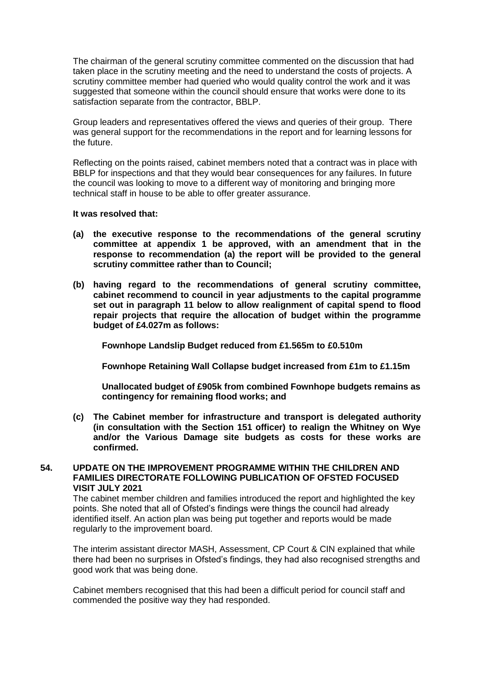The chairman of the general scrutiny committee commented on the discussion that had taken place in the scrutiny meeting and the need to understand the costs of projects. A scrutiny committee member had queried who would quality control the work and it was suggested that someone within the council should ensure that works were done to its satisfaction separate from the contractor, BBLP.

Group leaders and representatives offered the views and queries of their group. There was general support for the recommendations in the report and for learning lessons for the future.

Reflecting on the points raised, cabinet members noted that a contract was in place with BBLP for inspections and that they would bear consequences for any failures. In future the council was looking to move to a different way of monitoring and bringing more technical staff in house to be able to offer greater assurance.

#### **It was resolved that:**

- **(a) the executive response to the recommendations of the general scrutiny committee at appendix 1 be approved, with an amendment that in the response to recommendation (a) the report will be provided to the general scrutiny committee rather than to Council;**
- **(b) having regard to the recommendations of general scrutiny committee, cabinet recommend to council in year adjustments to the capital programme set out in paragraph 11 below to allow realignment of capital spend to flood repair projects that require the allocation of budget within the programme budget of £4.027m as follows:**

**Fownhope Landslip Budget reduced from £1.565m to £0.510m**

**Fownhope Retaining Wall Collapse budget increased from £1m to £1.15m**

**Unallocated budget of £905k from combined Fownhope budgets remains as contingency for remaining flood works; and**

**(c) The Cabinet member for infrastructure and transport is delegated authority (in consultation with the Section 151 officer) to realign the Whitney on Wye and/or the Various Damage site budgets as costs for these works are confirmed.**

#### **54. UPDATE ON THE IMPROVEMENT PROGRAMME WITHIN THE CHILDREN AND FAMILIES DIRECTORATE FOLLOWING PUBLICATION OF OFSTED FOCUSED VISIT JULY 2021**

The cabinet member children and families introduced the report and highlighted the key points. She noted that all of Ofsted's findings were things the council had already identified itself. An action plan was being put together and reports would be made regularly to the improvement board.

The interim assistant director MASH, Assessment, CP Court & CIN explained that while there had been no surprises in Ofsted's findings, they had also recognised strengths and good work that was being done.

Cabinet members recognised that this had been a difficult period for council staff and commended the positive way they had responded.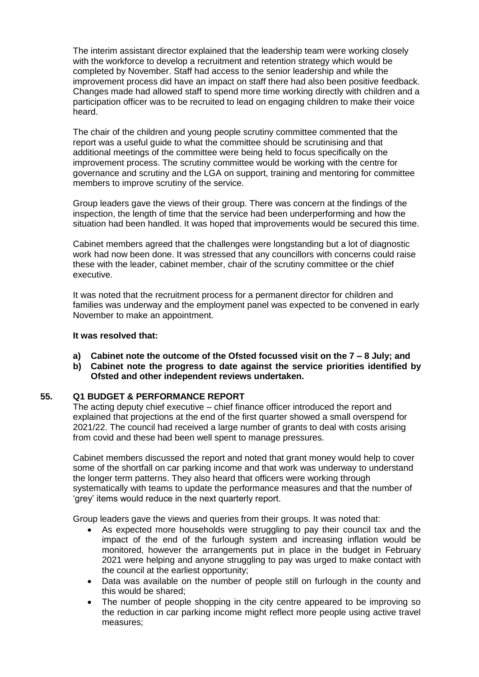The interim assistant director explained that the leadership team were working closely with the workforce to develop a recruitment and retention strategy which would be completed by November. Staff had access to the senior leadership and while the improvement process did have an impact on staff there had also been positive feedback. Changes made had allowed staff to spend more time working directly with children and a participation officer was to be recruited to lead on engaging children to make their voice heard.

The chair of the children and young people scrutiny committee commented that the report was a useful guide to what the committee should be scrutinising and that additional meetings of the committee were being held to focus specifically on the improvement process. The scrutiny committee would be working with the centre for governance and scrutiny and the LGA on support, training and mentoring for committee members to improve scrutiny of the service.

Group leaders gave the views of their group. There was concern at the findings of the inspection, the length of time that the service had been underperforming and how the situation had been handled. It was hoped that improvements would be secured this time.

Cabinet members agreed that the challenges were longstanding but a lot of diagnostic work had now been done. It was stressed that any councillors with concerns could raise these with the leader, cabinet member, chair of the scrutiny committee or the chief executive.

It was noted that the recruitment process for a permanent director for children and families was underway and the employment panel was expected to be convened in early November to make an appointment.

#### **It was resolved that:**

- **a) Cabinet note the outcome of the Ofsted focussed visit on the 7 – 8 July; and**
- **b) Cabinet note the progress to date against the service priorities identified by Ofsted and other independent reviews undertaken.**

## **55. Q1 BUDGET & PERFORMANCE REPORT**

The acting deputy chief executive – chief finance officer introduced the report and explained that projections at the end of the first quarter showed a small overspend for 2021/22. The council had received a large number of grants to deal with costs arising from covid and these had been well spent to manage pressures.

Cabinet members discussed the report and noted that grant money would help to cover some of the shortfall on car parking income and that work was underway to understand the longer term patterns. They also heard that officers were working through systematically with teams to update the performance measures and that the number of 'grey' items would reduce in the next quarterly report.

Group leaders gave the views and queries from their groups. It was noted that:

- As expected more households were struggling to pay their council tax and the impact of the end of the furlough system and increasing inflation would be monitored, however the arrangements put in place in the budget in February 2021 were helping and anyone struggling to pay was urged to make contact with the council at the earliest opportunity;
- Data was available on the number of people still on furlough in the county and this would be shared;
- The number of people shopping in the city centre appeared to be improving so the reduction in car parking income might reflect more people using active travel measures;